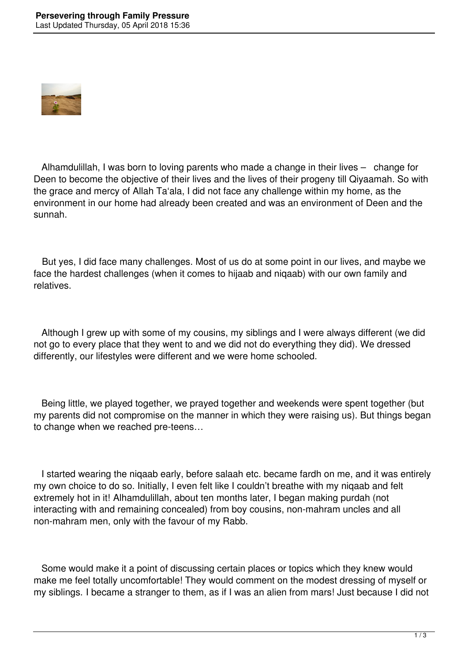

 Alhamdulillah, I was born to loving parents who made a change in their lives – change for Deen to become the objective of their lives and the lives of their progeny till Qiyaamah. So with the grace and mercy of Allah Ta'ala, I did not face any challenge within my home, as the environment in our home had already been created and was an environment of Deen and the sunnah.

 But yes, I did face many challenges. Most of us do at some point in our lives, and maybe we face the hardest challenges (when it comes to hijaab and niqaab) with our own family and relatives.

 Although I grew up with some of my cousins, my siblings and I were always different (we did not go to every place that they went to and we did not do everything they did). We dressed differently, our lifestyles were different and we were home schooled.

 Being little, we played together, we prayed together and weekends were spent together (but my parents did not compromise on the manner in which they were raising us). But things began to change when we reached pre-teens…

 I started wearing the niqaab early, before salaah etc. became fardh on me, and it was entirely my own choice to do so. Initially, I even felt like I couldn't breathe with my niqaab and felt extremely hot in it! Alhamdulillah, about ten months later, I began making purdah (not interacting with and remaining concealed) from boy cousins, non-mahram uncles and all non-mahram men, only with the favour of my Rabb.

 Some would make it a point of discussing certain places or topics which they knew would make me feel totally uncomfortable! They would comment on the modest dressing of myself or my siblings. I became a stranger to them, as if I was an alien from mars! Just because I did not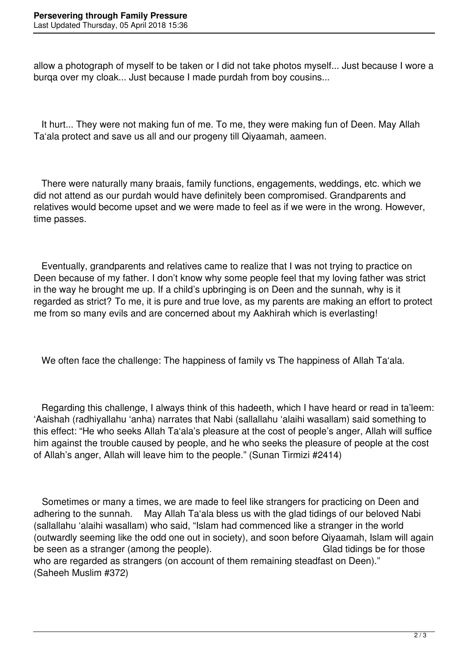allow a photograph of myself to be taken or I did not take photos myself... Just because I wore a burqa over my cloak... Just because I made purdah from boy cousins...

 It hurt... They were not making fun of me. To me, they were making fun of Deen. May Allah Ta'ala protect and save us all and our progeny till Qiyaamah, aameen.

 There were naturally many braais, family functions, engagements, weddings, etc. which we did not attend as our purdah would have definitely been compromised. Grandparents and relatives would become upset and we were made to feel as if we were in the wrong. However, time passes.

 Eventually, grandparents and relatives came to realize that I was not trying to practice on Deen because of my father. I don't know why some people feel that my loving father was strict in the way he brought me up. If a child's upbringing is on Deen and the sunnah, why is it regarded as strict? To me, it is pure and true love, as my parents are making an effort to protect me from so many evils and are concerned about my Aakhirah which is everlasting!

We often face the challenge: The happiness of family vs The happiness of Allah Ta'ala.

 Regarding this challenge, I always think of this hadeeth, which I have heard or read in ta'leem: 'Aaishah (radhiyallahu 'anha) narrates that Nabi (sallallahu 'alaihi wasallam) said something to this effect: "He who seeks Allah Ta'ala's pleasure at the cost of people's anger, Allah will suffice him against the trouble caused by people, and he who seeks the pleasure of people at the cost of Allah's anger, Allah will leave him to the people." (Sunan Tirmizi #2414)

 Sometimes or many a times, we are made to feel like strangers for practicing on Deen and adhering to the sunnah. May Allah Ta'ala bless us with the glad tidings of our beloved Nabi (sallallahu 'alaihi wasallam) who said, "Islam had commenced like a stranger in the world (outwardly seeming like the odd one out in society), and soon before Qiyaamah, Islam will again be seen as a stranger (among the people). Glad tidings be for those who are regarded as strangers (on account of them remaining steadfast on Deen)." (Saheeh Muslim #372)